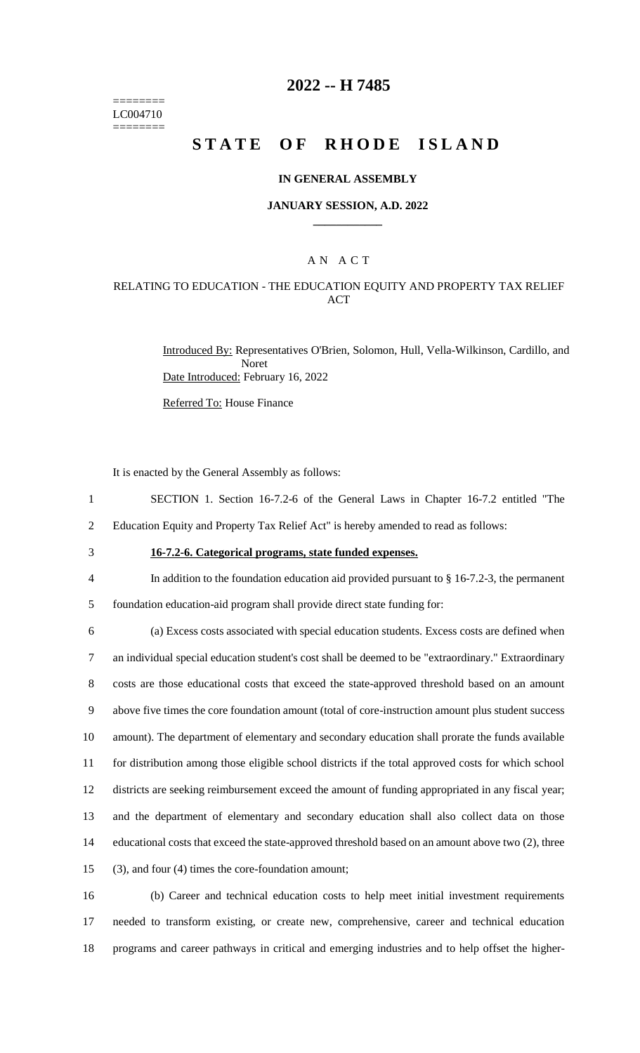======== LC004710 ========

### **2022 -- H 7485**

# **STATE OF RHODE ISLAND**

#### **IN GENERAL ASSEMBLY**

#### **JANUARY SESSION, A.D. 2022 \_\_\_\_\_\_\_\_\_\_\_\_**

### A N A C T

### RELATING TO EDUCATION - THE EDUCATION EQUITY AND PROPERTY TAX RELIEF ACT

Introduced By: Representatives O'Brien, Solomon, Hull, Vella-Wilkinson, Cardillo, and Noret Date Introduced: February 16, 2022

Referred To: House Finance

It is enacted by the General Assembly as follows:

- 1 SECTION 1. Section 16-7.2-6 of the General Laws in Chapter 16-7.2 entitled "The
- 2 Education Equity and Property Tax Relief Act" is hereby amended to read as follows:
- 

# 3 **16-7.2-6. Categorical programs, state funded expenses.**

4 In addition to the foundation education aid provided pursuant to § 16-7.2-3, the permanent

5 foundation education-aid program shall provide direct state funding for:

 (a) Excess costs associated with special education students. Excess costs are defined when an individual special education student's cost shall be deemed to be "extraordinary." Extraordinary costs are those educational costs that exceed the state-approved threshold based on an amount above five times the core foundation amount (total of core-instruction amount plus student success amount). The department of elementary and secondary education shall prorate the funds available for distribution among those eligible school districts if the total approved costs for which school districts are seeking reimbursement exceed the amount of funding appropriated in any fiscal year; and the department of elementary and secondary education shall also collect data on those educational costs that exceed the state-approved threshold based on an amount above two (2), three (3), and four (4) times the core-foundation amount;

16 (b) Career and technical education costs to help meet initial investment requirements 17 needed to transform existing, or create new, comprehensive, career and technical education 18 programs and career pathways in critical and emerging industries and to help offset the higher-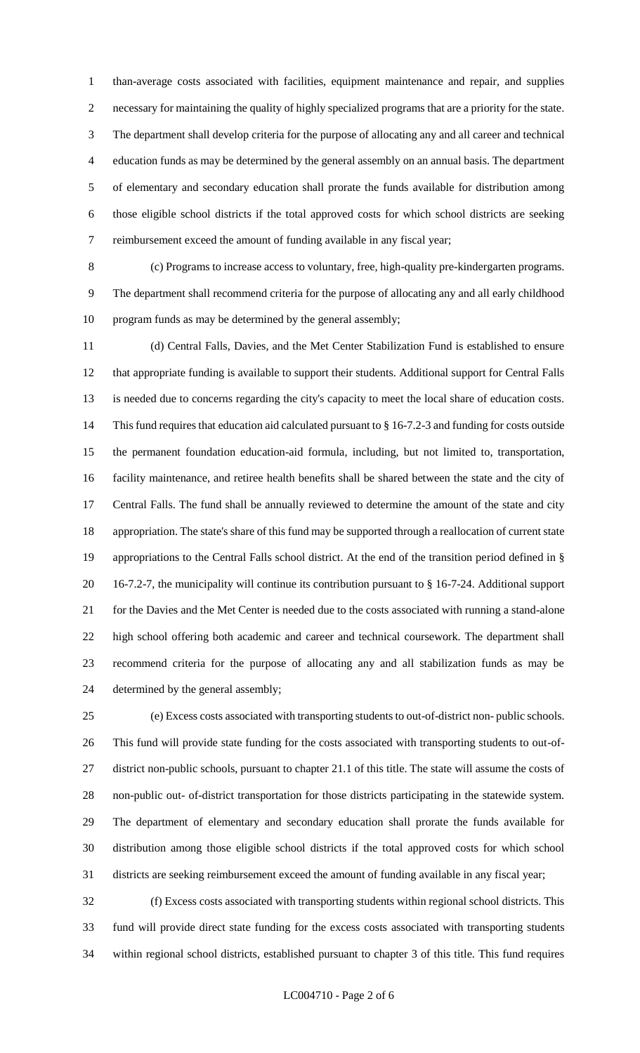than-average costs associated with facilities, equipment maintenance and repair, and supplies necessary for maintaining the quality of highly specialized programs that are a priority for the state. The department shall develop criteria for the purpose of allocating any and all career and technical education funds as may be determined by the general assembly on an annual basis. The department of elementary and secondary education shall prorate the funds available for distribution among those eligible school districts if the total approved costs for which school districts are seeking reimbursement exceed the amount of funding available in any fiscal year;

 (c) Programs to increase access to voluntary, free, high-quality pre-kindergarten programs. The department shall recommend criteria for the purpose of allocating any and all early childhood program funds as may be determined by the general assembly;

 (d) Central Falls, Davies, and the Met Center Stabilization Fund is established to ensure that appropriate funding is available to support their students. Additional support for Central Falls is needed due to concerns regarding the city's capacity to meet the local share of education costs. This fund requires that education aid calculated pursuant to § 16-7.2-3 and funding for costs outside the permanent foundation education-aid formula, including, but not limited to, transportation, facility maintenance, and retiree health benefits shall be shared between the state and the city of Central Falls. The fund shall be annually reviewed to determine the amount of the state and city appropriation. The state's share of this fund may be supported through a reallocation of current state appropriations to the Central Falls school district. At the end of the transition period defined in § 16-7.2-7, the municipality will continue its contribution pursuant to § 16-7-24. Additional support for the Davies and the Met Center is needed due to the costs associated with running a stand-alone high school offering both academic and career and technical coursework. The department shall recommend criteria for the purpose of allocating any and all stabilization funds as may be determined by the general assembly;

 (e) Excess costs associated with transporting students to out-of-district non- public schools. This fund will provide state funding for the costs associated with transporting students to out-of- district non-public schools, pursuant to chapter 21.1 of this title. The state will assume the costs of non-public out- of-district transportation for those districts participating in the statewide system. The department of elementary and secondary education shall prorate the funds available for distribution among those eligible school districts if the total approved costs for which school districts are seeking reimbursement exceed the amount of funding available in any fiscal year;

 (f) Excess costs associated with transporting students within regional school districts. This fund will provide direct state funding for the excess costs associated with transporting students within regional school districts, established pursuant to chapter 3 of this title. This fund requires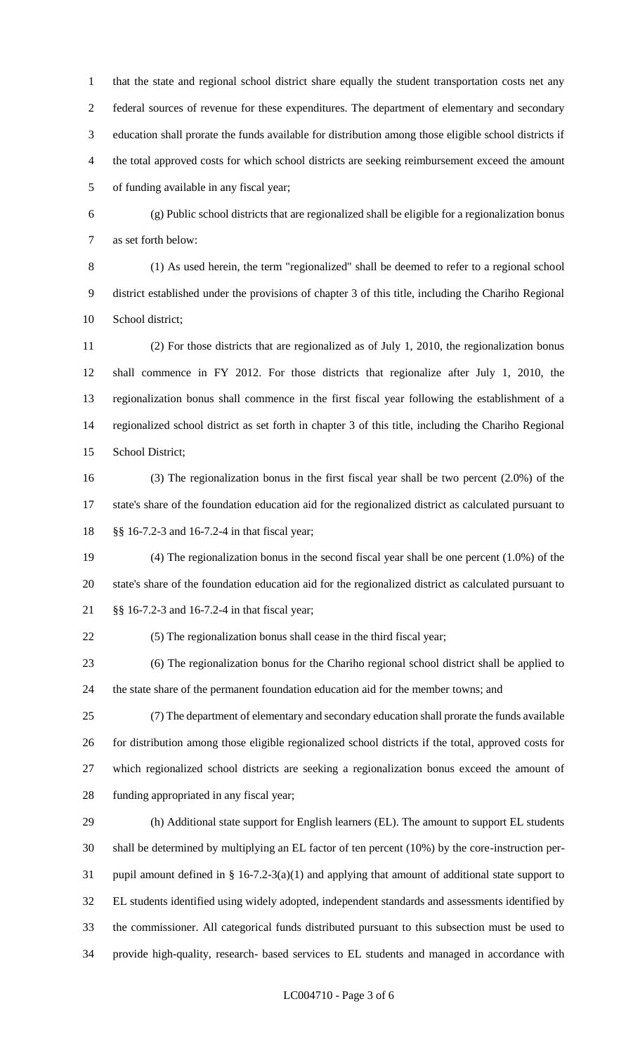that the state and regional school district share equally the student transportation costs net any federal sources of revenue for these expenditures. The department of elementary and secondary education shall prorate the funds available for distribution among those eligible school districts if the total approved costs for which school districts are seeking reimbursement exceed the amount of funding available in any fiscal year;

 (g) Public school districts that are regionalized shall be eligible for a regionalization bonus as set forth below:

 (1) As used herein, the term "regionalized" shall be deemed to refer to a regional school district established under the provisions of chapter 3 of this title, including the Chariho Regional School district;

 (2) For those districts that are regionalized as of July 1, 2010, the regionalization bonus shall commence in FY 2012. For those districts that regionalize after July 1, 2010, the regionalization bonus shall commence in the first fiscal year following the establishment of a regionalized school district as set forth in chapter 3 of this title, including the Chariho Regional School District;

 (3) The regionalization bonus in the first fiscal year shall be two percent (2.0%) of the state's share of the foundation education aid for the regionalized district as calculated pursuant to §§ 16-7.2-3 and 16-7.2-4 in that fiscal year;

 (4) The regionalization bonus in the second fiscal year shall be one percent (1.0%) of the state's share of the foundation education aid for the regionalized district as calculated pursuant to §§ 16-7.2-3 and 16-7.2-4 in that fiscal year;

(5) The regionalization bonus shall cease in the third fiscal year;

 (6) The regionalization bonus for the Chariho regional school district shall be applied to the state share of the permanent foundation education aid for the member towns; and

 (7) The department of elementary and secondary education shall prorate the funds available for distribution among those eligible regionalized school districts if the total, approved costs for which regionalized school districts are seeking a regionalization bonus exceed the amount of funding appropriated in any fiscal year;

 (h) Additional state support for English learners (EL). The amount to support EL students shall be determined by multiplying an EL factor of ten percent (10%) by the core-instruction per- pupil amount defined in § 16-7.2-3(a)(1) and applying that amount of additional state support to EL students identified using widely adopted, independent standards and assessments identified by the commissioner. All categorical funds distributed pursuant to this subsection must be used to provide high-quality, research- based services to EL students and managed in accordance with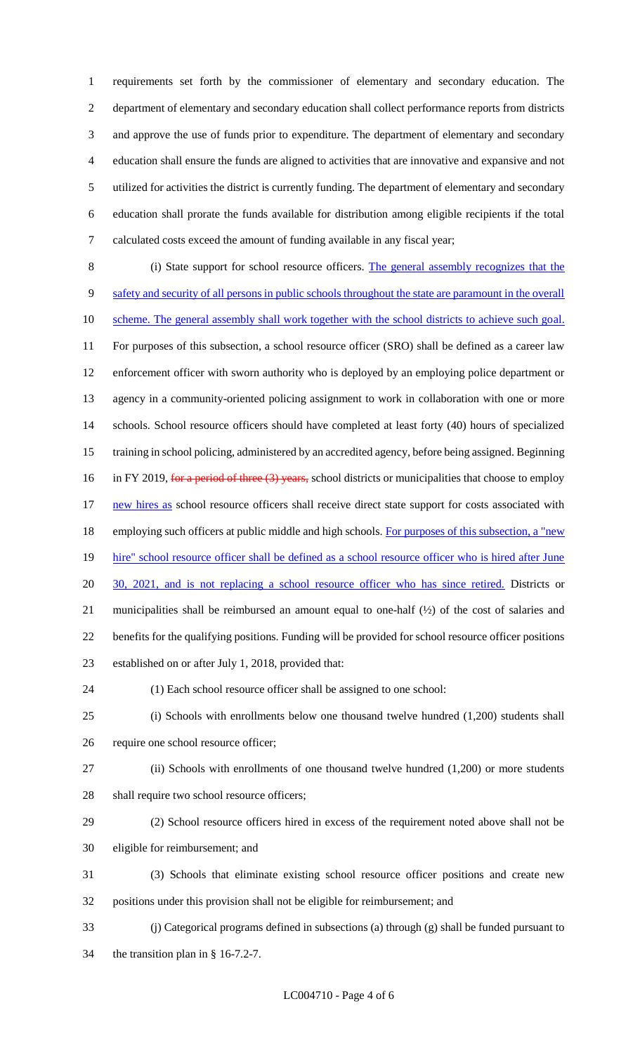requirements set forth by the commissioner of elementary and secondary education. The department of elementary and secondary education shall collect performance reports from districts and approve the use of funds prior to expenditure. The department of elementary and secondary education shall ensure the funds are aligned to activities that are innovative and expansive and not utilized for activities the district is currently funding. The department of elementary and secondary education shall prorate the funds available for distribution among eligible recipients if the total calculated costs exceed the amount of funding available in any fiscal year;

 (i) State support for school resource officers. The general assembly recognizes that the safety and security of all persons in public schools throughout the state are paramount in the overall 10 scheme. The general assembly shall work together with the school districts to achieve such goal. For purposes of this subsection, a school resource officer (SRO) shall be defined as a career law enforcement officer with sworn authority who is deployed by an employing police department or agency in a community-oriented policing assignment to work in collaboration with one or more schools. School resource officers should have completed at least forty (40) hours of specialized training in school policing, administered by an accredited agency, before being assigned. Beginning 16 in FY 2019, for a period of three (3) years, school districts or municipalities that choose to employ 17 new hires as school resource officers shall receive direct state support for costs associated with 18 employing such officers at public middle and high schools. For purposes of this subsection, a "new 19 hire" school resource officer shall be defined as a school resource officer who is hired after June 20 30, 2021, and is not replacing a school resource officer who has since retired. Districts or municipalities shall be reimbursed an amount equal to one-half (½) of the cost of salaries and benefits for the qualifying positions. Funding will be provided for school resource officer positions established on or after July 1, 2018, provided that:

(1) Each school resource officer shall be assigned to one school:

- (i) Schools with enrollments below one thousand twelve hundred (1,200) students shall require one school resource officer;
- 
- (ii) Schools with enrollments of one thousand twelve hundred (1,200) or more students 28 shall require two school resource officers;
- (2) School resource officers hired in excess of the requirement noted above shall not be
- eligible for reimbursement; and
- (3) Schools that eliminate existing school resource officer positions and create new positions under this provision shall not be eligible for reimbursement; and
- (j) Categorical programs defined in subsections (a) through (g) shall be funded pursuant to the transition plan in § 16-7.2-7.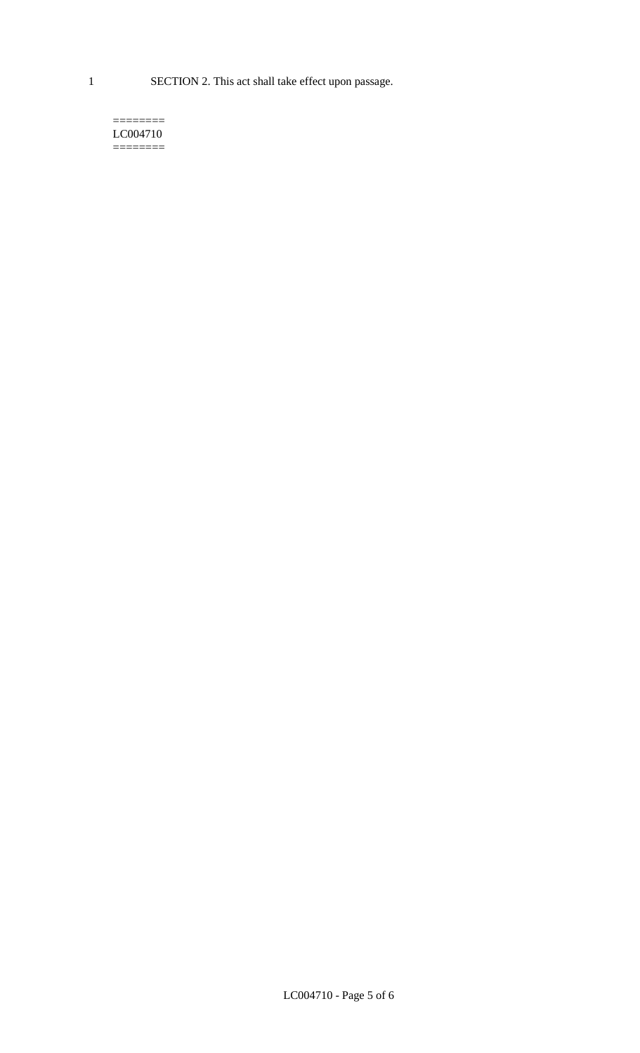1 SECTION 2. This act shall take effect upon passage.

#### $=$ LC004710 ========

LC004710 - Page 5 of 6